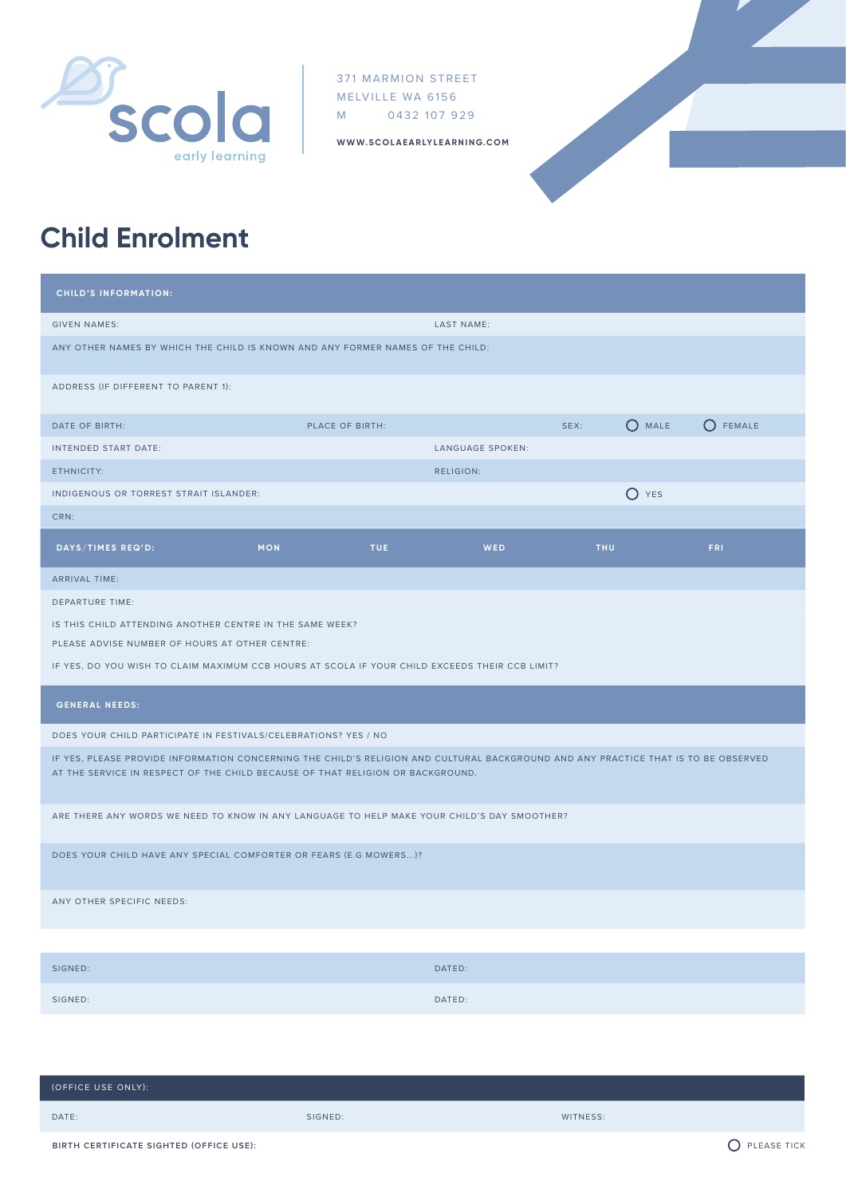

371 MARMION STREET MELVILLE WA 6156 M 0432 107 929

**WWW.SCOLAEARLYLEARNING.COM**



## **Child Enrolment**

| <b>CHILD'S INFORMATION:</b>                                                                                                                                                                                          |            |                 |                   |      |                |                  |  |
|----------------------------------------------------------------------------------------------------------------------------------------------------------------------------------------------------------------------|------------|-----------------|-------------------|------|----------------|------------------|--|
| <b>GIVEN NAMES:</b>                                                                                                                                                                                                  |            |                 | <b>LAST NAME:</b> |      |                |                  |  |
| ANY OTHER NAMES BY WHICH THE CHILD IS KNOWN AND ANY FORMER NAMES OF THE CHILD:                                                                                                                                       |            |                 |                   |      |                |                  |  |
| ADDRESS (IF DIFFERENT TO PARENT 1):                                                                                                                                                                                  |            |                 |                   |      |                |                  |  |
| DATE OF BIRTH:                                                                                                                                                                                                       |            | PLACE OF BIRTH: |                   | SEX: | $\bigcap$ MALE | $\bigcap$ FEMALE |  |
| INTENDED START DATE:                                                                                                                                                                                                 |            |                 | LANGUAGE SPOKEN:  |      |                |                  |  |
| ETHNICITY:                                                                                                                                                                                                           |            |                 | RELIGION:         |      |                |                  |  |
| INDIGENOUS OR TORREST STRAIT ISLANDER:                                                                                                                                                                               |            |                 |                   |      | $()$ YES       |                  |  |
| CRN:                                                                                                                                                                                                                 |            |                 |                   |      |                |                  |  |
| DAYS/TIMES REQ'D:                                                                                                                                                                                                    | <b>MON</b> | <b>TUE</b>      | <b>WED</b>        | THU  |                | FRI.             |  |
| ARRIVAL TIME:                                                                                                                                                                                                        |            |                 |                   |      |                |                  |  |
| <b>DEPARTURE TIME:</b>                                                                                                                                                                                               |            |                 |                   |      |                |                  |  |
| IS THIS CHILD ATTENDING ANOTHER CENTRE IN THE SAME WEEK?                                                                                                                                                             |            |                 |                   |      |                |                  |  |
| PLEASE ADVISE NUMBER OF HOURS AT OTHER CENTRE:                                                                                                                                                                       |            |                 |                   |      |                |                  |  |
| IF YES, DO YOU WISH TO CLAIM MAXIMUM CCB HOURS AT SCOLA IF YOUR CHILD EXCEEDS THEIR CCB LIMIT?                                                                                                                       |            |                 |                   |      |                |                  |  |
| <b>GENERAL NEEDS:</b>                                                                                                                                                                                                |            |                 |                   |      |                |                  |  |
| DOES YOUR CHILD PARTICIPATE IN FESTIVALS/CELEBRATIONS? YES / NO                                                                                                                                                      |            |                 |                   |      |                |                  |  |
| IF YES, PLEASE PROVIDE INFORMATION CONCERNING THE CHILD'S RELIGION AND CULTURAL BACKGROUND AND ANY PRACTICE THAT IS TO BE OBSERVED<br>AT THE SERVICE IN RESPECT OF THE CHILD BECAUSE OF THAT RELIGION OR BACKGROUND. |            |                 |                   |      |                |                  |  |
| ARE THERE ANY WORDS WE NEED TO KNOW IN ANY LANGUAGE TO HELP MAKE YOUR CHILD'S DAY SMOOTHER?                                                                                                                          |            |                 |                   |      |                |                  |  |
| DOES YOUR CHILD HAVE ANY SPECIAL COMFORTER OR FEARS (E.G MOWERS)?                                                                                                                                                    |            |                 |                   |      |                |                  |  |
| ANY OTHER SPECIFIC NEEDS:                                                                                                                                                                                            |            |                 |                   |      |                |                  |  |
|                                                                                                                                                                                                                      |            |                 |                   |      |                |                  |  |

| SIGNED: | DATED: |
|---------|--------|
| SIGNED: | DATED: |

| (OFFICE USE ONLY): |         |          |
|--------------------|---------|----------|
| DATE:              | SIGNED: | WITNESS: |